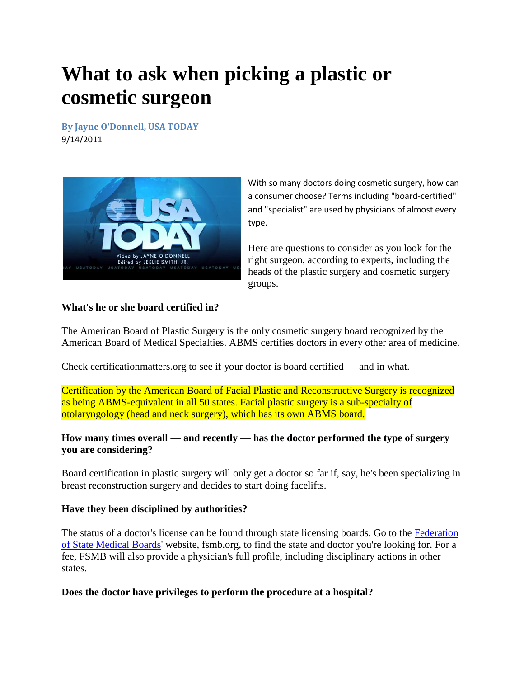# **What to ask when picking a plastic or cosmetic surgeon**

**By Jayne O'Donnell, USA TODAY** 9/14/2011



With so many doctors doing cosmetic surgery, how can a consumer choose? Terms including "board-certified" and "specialist" are used by physicians of almost every type.

Here are questions to consider as you look for the right surgeon, according to experts, including the heads of the plastic surgery and cosmetic surgery groups.

#### **What's he or she board certified in?**

The American Board of Plastic Surgery is the only cosmetic surgery board recognized by the American Board of Medical Specialties. ABMS certifies doctors in every other area of medicine.

Check certificationmatters.org to see if your doctor is board certified — and in what.

Certification by the American Board of Facial Plastic and Reconstructive Surgery is recognized as being ABMS-equivalent in all 50 states. Facial plastic surgery is a sub-specialty of otolaryngology (head and neck surgery), which has its own ABMS board.

## **How many times overall — and recently — has the doctor performed the type of surgery you are considering?**

Board certification in plastic surgery will only get a doctor so far if, say, he's been specializing in breast reconstruction surgery and decides to start doing facelifts.

## **Have they been disciplined by authorities?**

The status of a doctor's license can be found through state licensing boards. Go to the [Federation](http://content.usatoday.com/topics/topic/Federation+of+State+Medical+Boards)  [of State Medical Boards'](http://content.usatoday.com/topics/topic/Federation+of+State+Medical+Boards) website, fsmb.org, to find the state and doctor you're looking for. For a fee, FSMB will also provide a physician's full profile, including disciplinary actions in other states.

## **Does the doctor have privileges to perform the procedure at a hospital?**